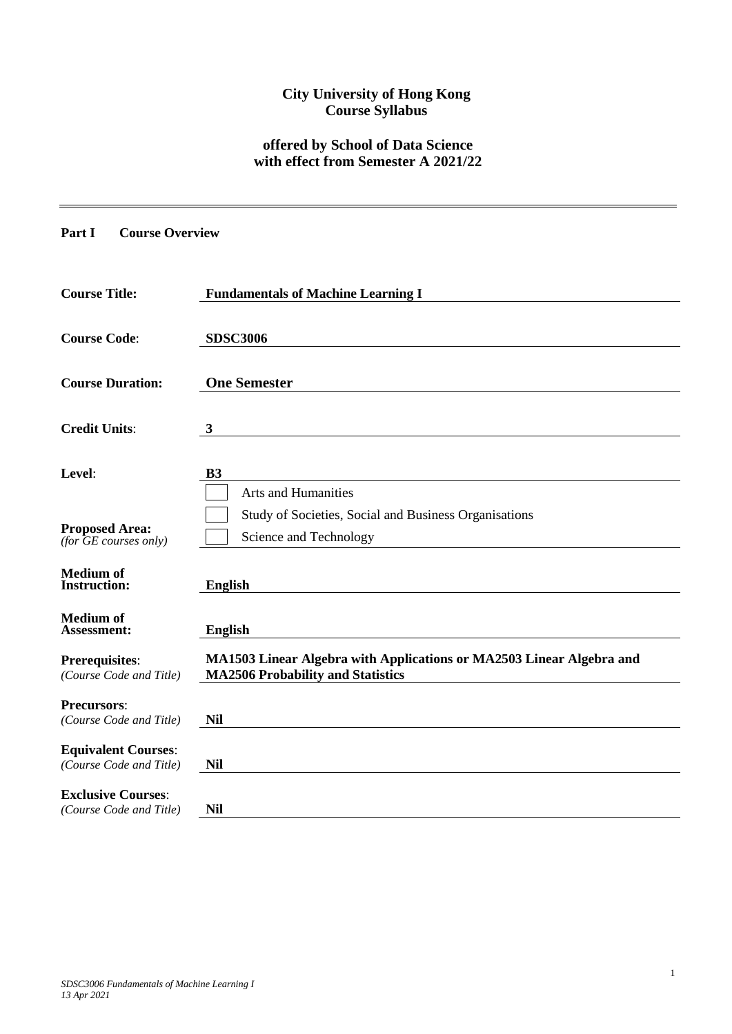# **City University of Hong Kong Course Syllabus**

# **offered by School of Data Science with effect from Semester A 2021/22**

## **Part I Course Overview**

| <b>Course Title:</b>                                  | <b>Fundamentals of Machine Learning I</b>                                                                        |
|-------------------------------------------------------|------------------------------------------------------------------------------------------------------------------|
| <b>Course Code:</b>                                   | <b>SDSC3006</b>                                                                                                  |
| <b>Course Duration:</b>                               | <b>One Semester</b>                                                                                              |
| <b>Credit Units:</b>                                  | $\mathbf{3}$                                                                                                     |
| Level:                                                | <b>B3</b><br><b>Arts and Humanities</b>                                                                          |
| <b>Proposed Area:</b><br>(for $GE$ courses only)      | Study of Societies, Social and Business Organisations<br>Science and Technology                                  |
| <b>Medium</b> of<br><b>Instruction:</b>               | <b>English</b>                                                                                                   |
| <b>Medium of</b><br>Assessment:                       | <b>English</b>                                                                                                   |
| <b>Prerequisites:</b><br>(Course Code and Title)      | MA1503 Linear Algebra with Applications or MA2503 Linear Algebra and<br><b>MA2506 Probability and Statistics</b> |
| <b>Precursors:</b><br>(Course Code and Title)         | <b>Nil</b>                                                                                                       |
| <b>Equivalent Courses:</b><br>(Course Code and Title) | <b>Nil</b>                                                                                                       |
| <b>Exclusive Courses:</b><br>(Course Code and Title)  | <b>Nil</b>                                                                                                       |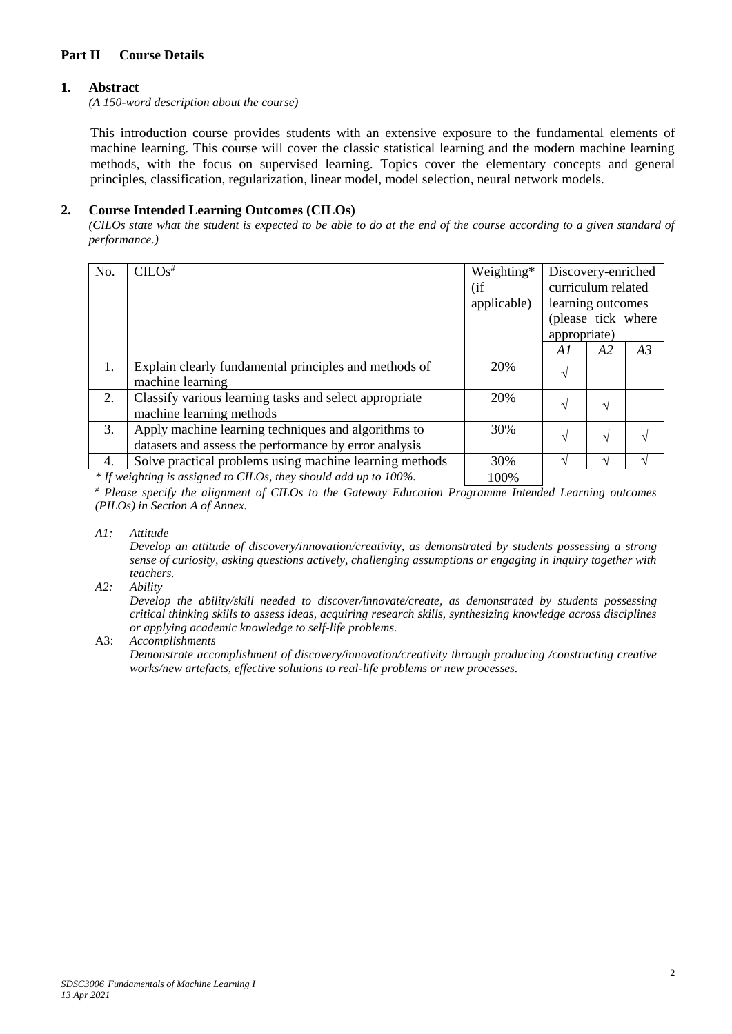## **Part II Course Details**

### **1. Abstract**

*(A 150-word description about the course)*

This introduction course provides students with an extensive exposure to the fundamental elements of machine learning. This course will cover the classic statistical learning and the modern machine learning methods, with the focus on supervised learning. Topics cover the elementary concepts and general principles, classification, regularization, linear model, model selection, neural network models.

### **2. Course Intended Learning Outcomes (CILOs)**

*(CILOs state what the student is expected to be able to do at the end of the course according to a given standard of performance.)*

| No. | CLOS <sup>#</sup>                                                                  | Weighting*<br>(i f)<br>applicable) | Discovery-enriched<br>curriculum related<br>learning outcomes<br>(please tick where |    |    |
|-----|------------------------------------------------------------------------------------|------------------------------------|-------------------------------------------------------------------------------------|----|----|
|     |                                                                                    |                                    | appropriate)                                                                        |    |    |
|     |                                                                                    |                                    | Al                                                                                  | A2 | A3 |
| 1.  | Explain clearly fundamental principles and methods of<br>machine learning          | 20%                                | V                                                                                   |    |    |
| 2.  | Classify various learning tasks and select appropriate<br>machine learning methods | 20%                                | N                                                                                   |    |    |
| 3.  | Apply machine learning techniques and algorithms to                                | 30%                                | $\sqrt{}$                                                                           |    |    |
|     | datasets and assess the performance by error analysis                              |                                    |                                                                                     |    |    |
| 4.  | Solve practical problems using machine learning methods                            | 30%                                |                                                                                     |    |    |
|     |                                                                                    | $\lambda$ $\sim$ $\sim$ $\lambda$  |                                                                                     |    |    |

*\* If weighting is assigned to CILOs, they should add up to 100%.* 100%

*# Please specify the alignment of CILOs to the Gateway Education Programme Intended Learning outcomes (PILOs) in Section A of Annex.* 

#### *A1: Attitude*

*Develop an attitude of discovery/innovation/creativity, as demonstrated by students possessing a strong sense of curiosity, asking questions actively, challenging assumptions or engaging in inquiry together with teachers.*

### *A2: Ability*

*Develop the ability/skill needed to discover/innovate/create, as demonstrated by students possessing critical thinking skills to assess ideas, acquiring research skills, synthesizing knowledge across disciplines or applying academic knowledge to self-life problems.*

A3: *Accomplishments*

*Demonstrate accomplishment of discovery/innovation/creativity through producing /constructing creative works/new artefacts, effective solutions to real-life problems or new processes.*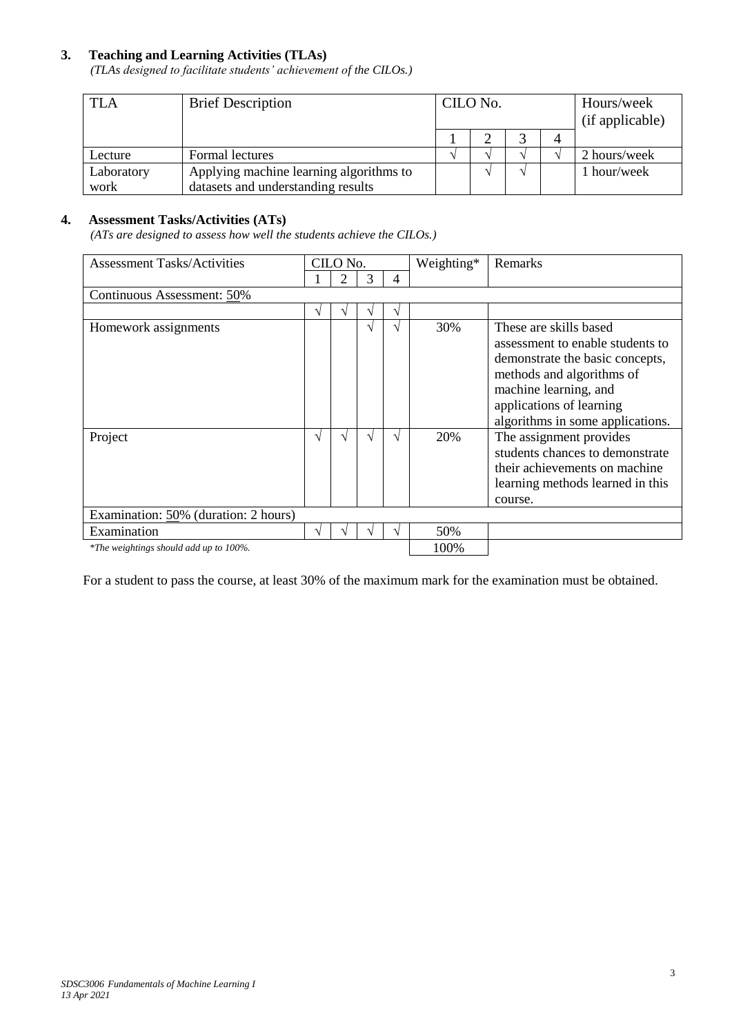## **3. Teaching and Learning Activities (TLAs)**

*(TLAs designed to facilitate students' achievement of the CILOs.)*

| <b>TLA</b> | <b>Brief Description</b>                | CILO No. |          |  |  | Hours/week<br>(if applicable) |  |
|------------|-----------------------------------------|----------|----------|--|--|-------------------------------|--|
|            |                                         |          |          |  |  |                               |  |
| Lecture    | Formal lectures                         |          | $\Delta$ |  |  | 2 hours/week                  |  |
| Laboratory | Applying machine learning algorithms to |          | $\Delta$ |  |  | 1 hour/week                   |  |
| work       | datasets and understanding results      |          |          |  |  |                               |  |

### **4. Assessment Tasks/Activities (ATs)**

*(ATs are designed to assess how well the students achieve the CILOs.)*

| <b>Assessment Tasks/Activities</b>     | CILO No. |   |  |   | Weighting* | Remarks                                                                                                                                                                                                             |
|----------------------------------------|----------|---|--|---|------------|---------------------------------------------------------------------------------------------------------------------------------------------------------------------------------------------------------------------|
|                                        |          | 2 |  | 4 |            |                                                                                                                                                                                                                     |
| Continuous Assessment: 50%             |          |   |  |   |            |                                                                                                                                                                                                                     |
|                                        | ٦        | V |  | ٦ |            |                                                                                                                                                                                                                     |
| Homework assignments                   |          |   |  |   | 30%        | These are skills based<br>assessment to enable students to<br>demonstrate the basic concepts,<br>methods and algorithms of<br>machine learning, and<br>applications of learning<br>algorithms in some applications. |
| Project                                | N        | ٦ |  |   | 20%        | The assignment provides<br>students chances to demonstrate<br>their achievements on machine<br>learning methods learned in this<br>course.                                                                          |
| Examination: 50% (duration: 2 hours)   |          |   |  |   |            |                                                                                                                                                                                                                     |
| Examination                            |          |   |  |   | 50%        |                                                                                                                                                                                                                     |
| *The weightings should add up to 100%. |          |   |  |   | 100%       |                                                                                                                                                                                                                     |

For a student to pass the course, at least 30% of the maximum mark for the examination must be obtained.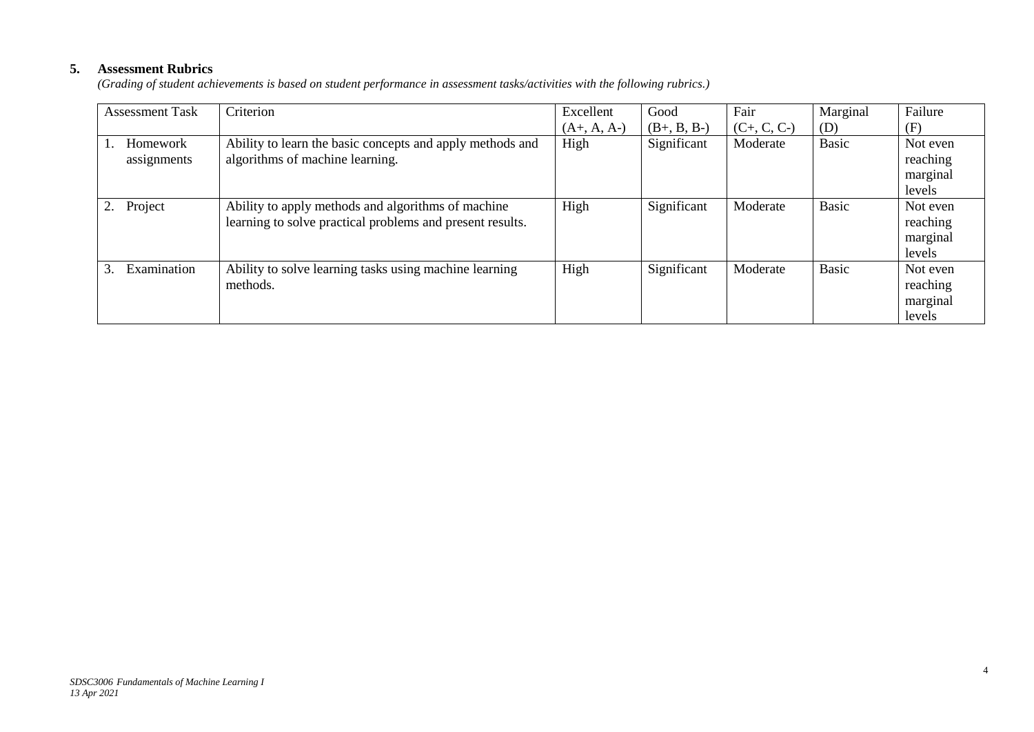## **5. Assessment Rubrics**

*(Grading of student achievements is based on student performance in assessment tasks/activities with the following rubrics.)*

| <b>Assessment Task</b>  | Criterion                                                                                                       | Excellent     | Good          | Fair          | Marginal     | Failure                                    |
|-------------------------|-----------------------------------------------------------------------------------------------------------------|---------------|---------------|---------------|--------------|--------------------------------------------|
|                         |                                                                                                                 | $(A+, A, A-)$ | $(B+, B, B-)$ | $(C+, C, C-)$ | (D)          | (F)                                        |
| Homework<br>assignments | Ability to learn the basic concepts and apply methods and<br>algorithms of machine learning.                    | High          | Significant   | Moderate      | <b>Basic</b> | Not even<br>reaching<br>marginal<br>levels |
| Project                 | Ability to apply methods and algorithms of machine<br>learning to solve practical problems and present results. | High          | Significant   | Moderate      | <b>Basic</b> | Not even<br>reaching<br>marginal<br>levels |
| Examination<br>3.       | Ability to solve learning tasks using machine learning<br>methods.                                              | High          | Significant   | Moderate      | <b>Basic</b> | Not even<br>reaching<br>marginal<br>levels |